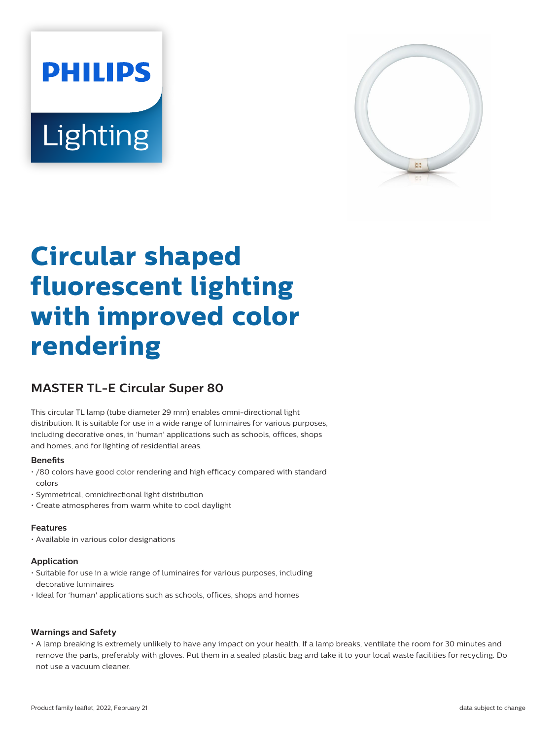# **PHILIPS** Lighting



## **Circular shaped fluorescent lighting with improved color rendering**

### **MASTER TL-E Circular Super 80**

This circular TL lamp (tube diameter 29 mm) enables omni-directional light distribution. It is suitable for use in a wide range of luminaires for various purposes, including decorative ones, in 'human' applications such as schools, offices, shops and homes, and for lighting of residential areas.

#### **Benefits**

- /80 colors have good color rendering and high efficacy compared with standard colors
- Symmetrical, omnidirectional light distribution
- Create atmospheres from warm white to cool daylight

#### **Features**

• Available in various color designations

#### **Application**

- Suitable for use in a wide range of luminaires for various purposes, including decorative luminaires
- Ideal for 'human' applications such as schools, offices, shops and homes

#### **Warnings and Safety**

• A lamp breaking is extremely unlikely to have any impact on your health. If a lamp breaks, ventilate the room for 30 minutes and remove the parts, preferably with gloves. Put them in a sealed plastic bag and take it to your local waste facilities for recycling. Do not use a vacuum cleaner.